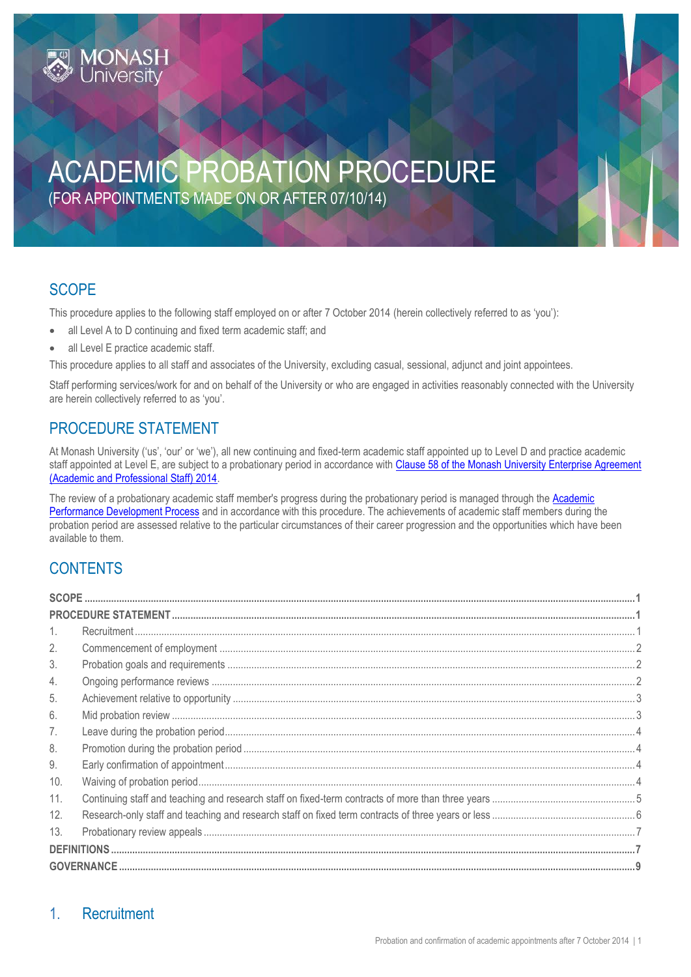# ACADEMIC PROBATION PROCEDURE (FOR APPOINTMENTS MADE ON OR AFTER 07/10/14)

# <span id="page-0-0"></span>**SCOPE**

This procedure applies to the following staff employed on or after 7 October 2014 (herein collectively referred to as 'you'):

- all Level A to D continuing and fixed term academic staff; and
- all Level E practice academic staff.

This procedure applies to all staff and associates of the University, excluding casual, sessional, adjunct and joint appointees.

Staff performing services/work for and on behalf of the University or who are engaged in activities reasonably connected with the University are herein collectively referred to as 'you'.

### <span id="page-0-1"></span>PROCEDURE STATEMENT

At Monash University ('us', 'our' or 'we'), all new continuing and fixed-term academic staff appointed up to Level D and practice academic staff appointed at Level E, are subject to a probationary period in accordance with Clause 58 of the Monash University Enterprise Agreement [\(Academic and Professional Staff\) 2014.](https://www.monash.edu/current-enterprise-agreements/academic-professional-2014/58)

The review of a probationary academic staff member's progress during the probationary period is managed through the Academic [Performance Development Process](http://www.intranet.monash/hr/tools-and-resources/staff-resources/performance-development/performance-development-for-academic-staff) and in accordance with this procedure. The achievements of academic staff members during the probation period are assessed relative to the particular circumstances of their career progression and the opportunities which have been available to them.

# **CONTENTS**

| 2.                |  |  |  |  |
|-------------------|--|--|--|--|
| 3.                |  |  |  |  |
| 4.                |  |  |  |  |
| 5.                |  |  |  |  |
| 6.                |  |  |  |  |
| 7.                |  |  |  |  |
| 8.                |  |  |  |  |
| 9.                |  |  |  |  |
| 10.               |  |  |  |  |
| 11.               |  |  |  |  |
| 12.               |  |  |  |  |
| 13.               |  |  |  |  |
|                   |  |  |  |  |
| <b>GOVERNANCE</b> |  |  |  |  |

### <span id="page-0-2"></span>1. Recruitment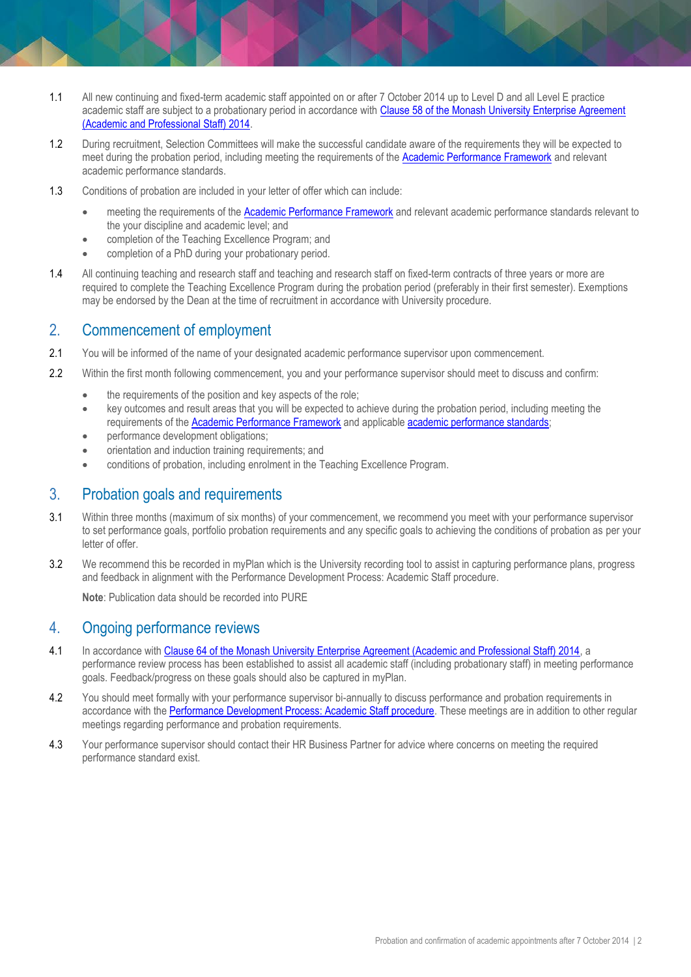- 1.1 All new continuing and fixed-term academic staff appointed on or after 7 October 2014 up to Level D and all Level E practice academic staff are subject to a probationary period in accordance with Clause 58 of the Monash University Enterprise Agreement [\(Academic and Professional Staff\) 2014.](https://www.monash.edu/current-enterprise-agreements/academic-professional-2014/58)
- 1.2 During recruitment, Selection Committees will make the successful candidate aware of the requirements they will be expected to meet during the probation period, including meeting the requirements of th[e Academic Performance Framework](http://www.monash.edu/academic-promotion/tools-and-resources/standards) and relevant academic performance standards.
- 1.3 Conditions of probation are included in your letter of offer which can include:
	- meeting the requirements of the [Academic Performance Framework](http://www.monash.edu/academic-promotion/tools-and-resources/standards) and relevant academic performance standards relevant to the your discipline and academic level; and
	- completion of the Teaching Excellence Program; and
	- completion of a PhD during your probationary period.
- 1.4 All continuing teaching and research staff and teaching and research staff on fixed-term contracts of three years or more are required to complete the Teaching Excellence Program during the probation period (preferably in their first semester). Exemptions may be endorsed by the Dean at the time of recruitment in accordance with University procedure.

#### <span id="page-1-0"></span>2. Commencement of employment

- 2.1 You will be informed of the name of your designated academic performance supervisor upon commencement.
- 2.2 Within the first month following commencement, you and your performance supervisor should meet to discuss and confirm:
	- the requirements of the position and key aspects of the role;
	- key outcomes and result areas that you will be expected to achieve during the probation period, including meeting the requirements of the [Academic Performance Framework](http://www.monash.edu/academic-promotion/tools-and-resources/standards) and applicable [academic performance standards;](https://www.monash.edu/academic-promotion/tools-and-resources/standards/faculty-specific-academic-performance-standards)
	- performance development obligations;
	- orientation and induction training requirements; and
	- conditions of probation, including enrolment in the Teaching Excellence Program.

#### <span id="page-1-1"></span>3. Probation goals and requirements

- 3.1 Within three months (maximum of six months) of your commencement, we recommend you meet with your performance supervisor to set performance goals, portfolio probation requirements and any specific goals to achieving the conditions of probation as per your letter of offer.
- 3.2 We recommend this be recorded in myPlan which is the University recording tool to assist in capturing performance plans, progress and feedback in alignment with th[e Performance Development Process: Academic Staff procedure.](https://www.monash.edu/__data/assets/pdf_file/0009/799389/Performance-Development-Process-academic-staff.pdf)

**Note**: Publication data should be recorded into PURE

#### <span id="page-1-2"></span>4. Ongoing performance reviews

- 4.1 In accordance wit[h Clause 64 of the Monash University Enterprise Agreement \(Academic and Professional Staff\) 2014,](https://www.monash.edu/current-enterprise-agreements/academic-professional-2014/64) a performance review process has been established to assist all academic staff (including probationary staff) in meeting performance goals. Feedback/progress on these goals should also be captured in myPlan.
- 4.2 You should meet formally with your performance supervisor bi-annually to discuss performance and probation requirements in accordance with the [Performance Development Process: Academic Staff procedure.](https://publicpolicydms.monash.edu/Monash/documents/1935710) These meetings are in addition to other regular meetings regarding performance and probation requirements.
- 4.3 Your performance supervisor should contact their HR Business Partner for advice where concerns on meeting the required performance standard exist.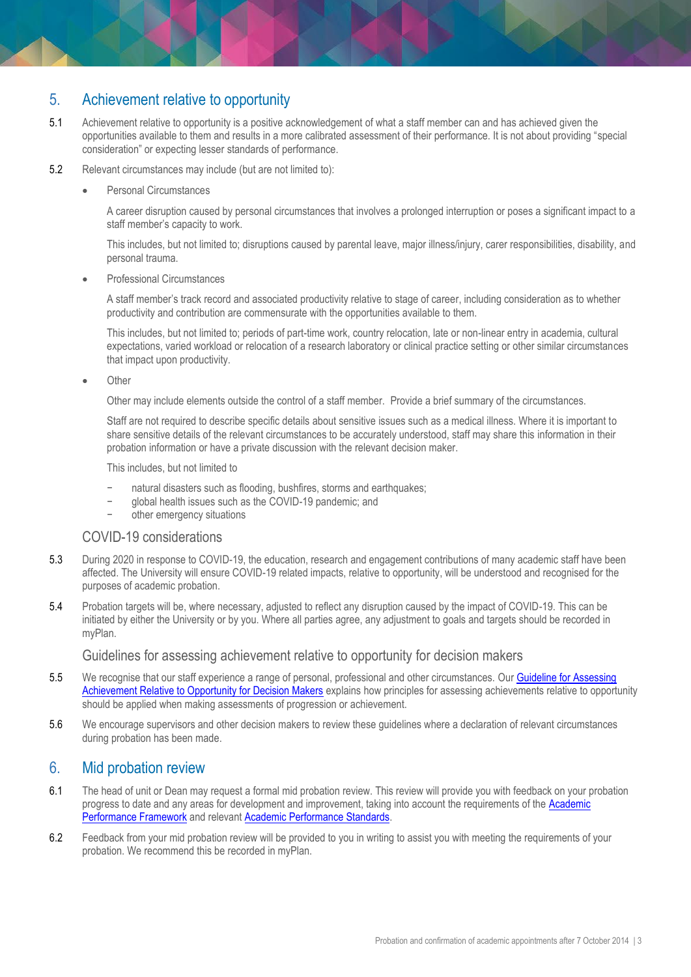### <span id="page-2-0"></span>5. Achievement relative to opportunity

- 5.1 Achievement relative to opportunity is a positive acknowledgement of what a staff member can and has achieved given the opportunities available to them and results in a more calibrated assessment of their performance. It is not about providing "special consideration" or expecting lesser standards of performance.
- 5.2 Relevant circumstances may include (but are not limited to):
	- Personal Circumstances

A career disruption caused by personal circumstances that involves a prolonged interruption or poses a significant impact to a staff member's capacity to work.

This includes, but not limited to; disruptions caused by parental leave, major illness/injury, carer responsibilities, disability, and personal trauma.

Professional Circumstances

A staff member's track record and associated productivity relative to stage of career, including consideration as to whether productivity and contribution are commensurate with the opportunities available to them.

This includes, but not limited to; periods of part-time work, country relocation, late or non-linear entry in academia, cultural expectations, varied workload or relocation of a research laboratory or clinical practice setting or other similar circumstances that impact upon productivity.

**Other** 

Other may include elements outside the control of a staff member. Provide a brief summary of the circumstances.

Staff are not required to describe specific details about sensitive issues such as a medical illness. Where it is important to share sensitive details of the relevant circumstances to be accurately understood, staff may share this information in their probation information or have a private discussion with the relevant decision maker.

This includes, but not limited to

- natural disasters such as flooding, bushfires, storms and earthquakes;
- − global health issues such as the COVID-19 pandemic; and
- other emergency situations

#### COVID-19 considerations

- 5.3 During 2020 in response to COVID-19, the education, research and engagement contributions of many academic staff have been affected. The University will ensure COVID-19 related impacts, relative to opportunity, will be understood and recognised for the purposes of academic probation.
- 5.4 Probation targets will be, where necessary, adjusted to reflect any disruption caused by the impact of COVID-19. This can be initiated by either the University or by you. Where all parties agree, any adjustment to goals and targets should be recorded in myPlan.

Guidelines for assessing achievement relative to opportunity for decision makers

- 5.5 We recognise that our staff experience a range of personal, professional and other circumstances. Our [Guideline for Assessing](https://www.monash.edu/__data/assets/pdf_file/0008/1798460/Guidelines-for-Assessing-Achievement-Relative-to-Opportunity.pdf)  [Achievement Relative to Opportunity for Decision Makers](https://www.monash.edu/__data/assets/pdf_file/0008/1798460/Guidelines-for-Assessing-Achievement-Relative-to-Opportunity.pdf) explains how principles for assessing achievements relative to opportunity should be applied when making assessments of progression or achievement.
- 5.6 We encourage supervisors and other decision makers to review these guidelines where a declaration of relevant circumstances during probation has been made.

#### <span id="page-2-1"></span>6. Mid probation review

- 6.1 The head of unit or Dean may request a formal mid probation review. This review will provide you with feedback on your probation progress to date and any areas for development and improvement, taking into account the requirements of the [Academic](http://www.monash.edu/academic-promotion/tools-and-resources/standards)  [Performance Framework](http://www.monash.edu/academic-promotion/tools-and-resources/standards) and relevant [Academic Performance Standards.](https://www.monash.edu/academic-promotion/tools-and-resources/standards/faculty-specific-academic-performance-standards)
- 6.2 Feedback from your mid probation review will be provided to you in writing to assist you with meeting the requirements of your probation. We recommend this be recorded in myPlan.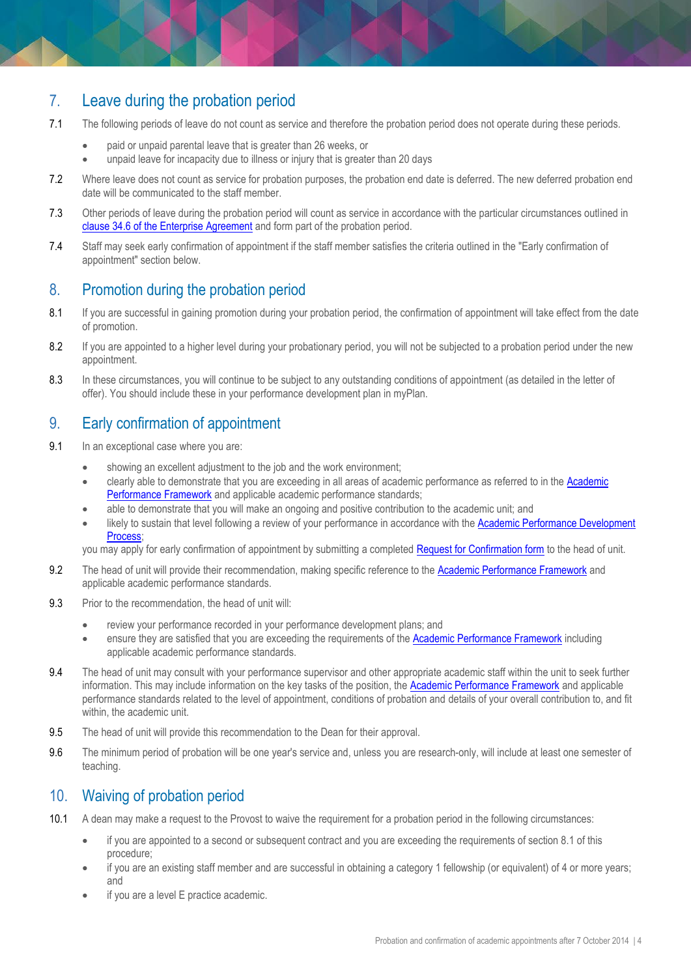### <span id="page-3-0"></span>7. Leave during the probation period

- 7.1 The following periods of leave do not count as service and therefore the probation period does not operate during these periods.
	- paid or unpaid parental leave that is greater than 26 weeks, or
	- unpaid leave for incapacity due to illness or injury that is greater than 20 days
- 7.2 Where leave does not count as service for probation purposes, the probation end date is deferred. The new deferred probation end date will be communicated to the staff member.
- 7.3 Other periods of leave during the probation period will count as service in accordance with the particular circumstances outlined in [clause 34.6 of the Enterprise Agreement](https://www.monash.edu/current-enterprise-agreements/academic-professional-2014/34) and form part of the probation period.
- 7.4 Staff may seek early confirmation of appointment if the staff member satisfies the criteria outlined in the "Early confirmation of appointment" section below.

### <span id="page-3-1"></span>8. Promotion during the probation period

- 8.1 If you are successful in gaining promotion during your probation period, the confirmation of appointment will take effect from the date of promotion.
- 8.2 If you are appointed to a higher level during your probationary period, you will not be subjected to a probation period under the new appointment.
- 8.3 In these circumstances, you will continue to be subject to any outstanding conditions of appointment (as detailed in the letter of offer). You should include these in your performance development plan in myPlan.

### <span id="page-3-2"></span>9. Early confirmation of appointment

- 9.1 In an exceptional case where you are:
	- showing an excellent adjustment to the job and the work environment;
	- clearly able to demonstrate that you are exceeding in all areas of academic performance as referred to in th[e Academic](http://www.monash.edu/academic-promotion/tools-and-resources/standards)  [Performance Framework](http://www.monash.edu/academic-promotion/tools-and-resources/standards) and applicable academic performance standards;
	- able to demonstrate that you will make an ongoing and positive contribution to the academic unit; and
	- likely to sustain that level following a review of your performance in accordance with the Academic Performance Development [Process;](http://www.monash.edu/__data/assets/pdf_file/0009/799389/Performance-Development-Process-academic-staff.pdf)

you may apply for early confirmation of appointment by submitting a completed [Request for Confirmation form](http://www.intranet.monash/hr/assets/docs/tools-and-resources/forms/word/academic-probation-request-confirmation.docx) to the head of unit.

- 9.2 The head of unit will provide their recommendation, making specific reference to the [Academic Performance Framework](http://www.monash.edu/academic-promotion/tools-and-resources/standards) and applicable academic performance standards.
- 9.3 Prior to the recommendation, the head of unit will:
	- review your performance recorded in your performance development plans; and
	- ensure they are satisfied that you are exceeding the requirements of th[e Academic Performance Framework](http://www.monash.edu/academic-promotion/tools-and-resources/standards) including applicable academic performance standards.
- 9.4 The head of unit may consult with your performance supervisor and other appropriate academic staff within the unit to seek further information. This may include information on the key tasks of the position, the **Academic Performance Framework** and applicable performance standards related to the level of appointment, conditions of probation and details of your overall contribution to, and fit within, the academic unit.
- 9.5 The head of unit will provide this recommendation to the Dean for their approval.
- 9.6 The minimum period of probation will be one year's service and, unless you are research-only, will include at least one semester of teaching.

### <span id="page-3-3"></span>10. Waiving of probation period

- 10.1 A dean may make a request to the Provost to waive the requirement for a probation period in the following circumstances:
	- if you are appointed to a second or subsequent contract and you are exceeding the requirements of section 8.1 of this procedure;
	- if you are an existing staff member and are successful in obtaining a category 1 fellowship (or equivalent) of 4 or more years; and
	- if you are a level E practice academic.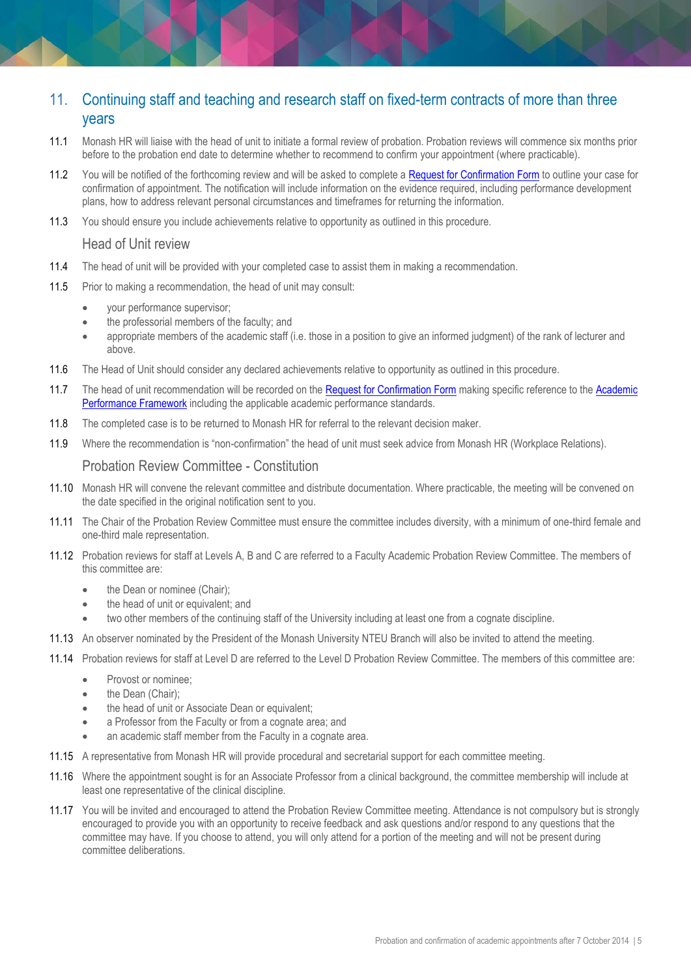### <span id="page-4-0"></span>11. Continuing staff and teaching and research staff on fixed-term contracts of more than three years

- 11.1 Monash HR will liaise with the head of unit to initiate a formal review of probation. Probation reviews will commence six months prior before to the probation end date to determine whether to recommend to confirm your appointment (where practicable).
- 11.2 You will be notified of the forthcoming review and will be asked to complete a [Request for Confirmation Form](http://www.intranet.monash/hr/assets/docs/tools-and-resources/forms/word/academic-probation-request-confirmation.docx) to outline your case for confirmation of appointment. The notification will include information on the evidence required, including performance development plans, how to address relevant personal circumstances and timeframes for returning the information.
- 11.3 You should ensure you include achievements relative to opportunity as outlined in this procedure.

#### Head of Unit review

- 11.4 The head of unit will be provided with your completed case to assist them in making a recommendation.
- 11.5 Prior to making a recommendation, the head of unit may consult:
	- your performance supervisor;
	- the professorial members of the faculty; and
	- appropriate members of the academic staff (i.e. those in a position to give an informed judgment) of the rank of lecturer and above.
- 11.6 The Head of Unit should consider any declared achievements relative to opportunity as outlined in this procedure.
- 11.7 The head of unit recommendation will be recorded on th[e Request for Confirmation Form](http://www.intranet.monash/hr/assets/docs/tools-and-resources/forms/word/academic-probation-request-confirmation.docx) making specific reference to the Academic [Performance Framework](http://www.monash.edu/academic-promotion/tools-and-resources/standards) including the applicable academic performance standards.
- 11.8 The completed case is to be returned to Monash HR for referral to the relevant decision maker.
- 11.9 Where the recommendation is "non-confirmation" the head of unit must seek advice from Monash HR (Workplace Relations).

#### Probation Review Committee - Constitution

- 11.10 Monash HR will convene the relevant committee and distribute documentation. Where practicable, the meeting will be convened on the date specified in the original notification sent to you.
- 11.11 The Chair of the Probation Review Committee must ensure the committee includes diversity, with a minimum of one-third female and one-third male representation.
- 11.12 Probation reviews for staff at Levels A, B and C are referred to a Faculty Academic Probation Review Committee. The members of this committee are:
	- the Dean or nominee (Chair);
	- the head of unit or equivalent; and
	- two other members of the continuing staff of the University including at least one from a cognate discipline.
- 11.13 An observer nominated by the President of the Monash University NTEU Branch will also be invited to attend the meeting.
- 11.14 Probation reviews for staff at Level D are referred to the Level D Probation Review Committee. The members of this committee are:
	- Provost or nominee;
	- the Dean (Chair):
	- the head of unit or Associate Dean or equivalent:
	- a Professor from the Faculty or from a cognate area; and
	- an academic staff member from the Faculty in a cognate area.
- 11.15 A representative from Monash HR will provide procedural and secretarial support for each committee meeting.
- 11.16 Where the appointment sought is for an Associate Professor from a clinical background, the committee membership will include at least one representative of the clinical discipline.
- 11.17 You will be invited and encouraged to attend the Probation Review Committee meeting. Attendance is not compulsory but is strongly encouraged to provide you with an opportunity to receive feedback and ask questions and/or respond to any questions that the committee may have. If you choose to attend, you will only attend for a portion of the meeting and will not be present during committee deliberations.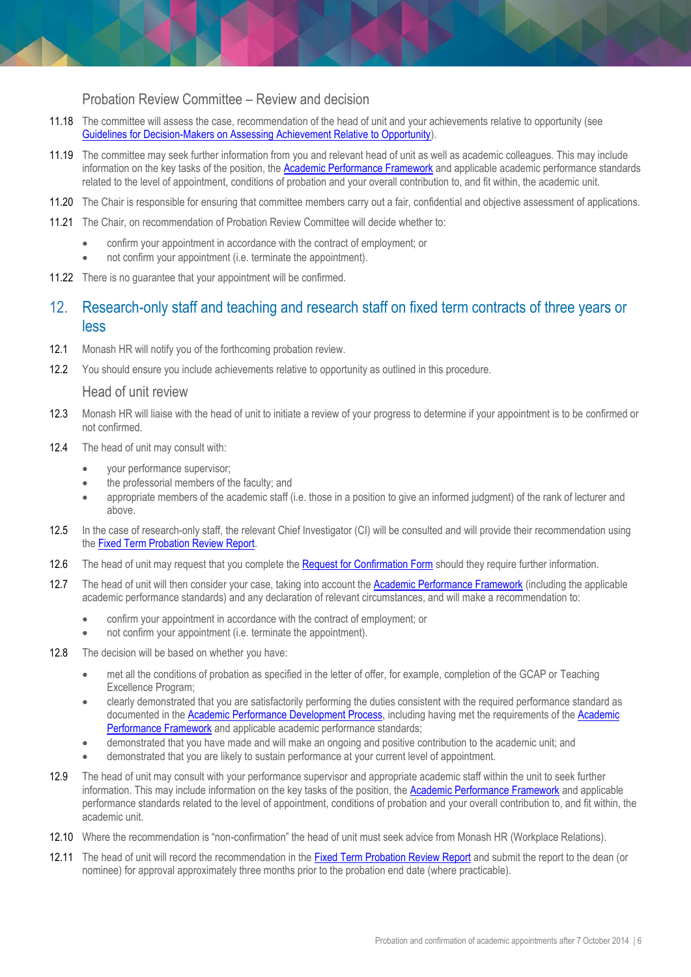#### Probation Review Committee – Review and decision

- 11.18 The committee will assess the case, recommendation of the head of unit and your achievements relative to opportunity (see [Guidelines for Decision-Makers on Assessing Achievement Relative to Opportunity\)](http://www.monash.edu/__data/assets/word_doc/0011/690815/guidelines-for-decision-makers-and-assessors-on-achievement-relative-to-opportunity.doc).
- 11.19 The committee may seek further information from you and relevant head of unit as well as academic colleagues. This may include information on the key tasks of the position, th[e Academic Performance Framework](http://www.monash.edu/academic-promotion/tools-and-resources/standards) and applicable academic performance standards related to the level of appointment, conditions of probation and your overall contribution to, and fit within, the academic unit.
- 11.20 The Chair is responsible for ensuring that committee members carry out a fair, confidential and objective assessment of applications.
- 11.21 The Chair, on recommendation of Probation Review Committee will decide whether to:
	- confirm your appointment in accordance with the contract of employment; or
	- not confirm your appointment (i.e. terminate the appointment).
- 11.22 There is no guarantee that your appointment will be confirmed.

### <span id="page-5-0"></span>12. Research-only staff and teaching and research staff on fixed term contracts of three years or less

- 12.1 Monash HR will notify you of the forthcoming probation review.
- 12.2 You should ensure you include achievements relative to opportunity as outlined in this procedure.

#### Head of unit review

- 12.3 Monash HR will liaise with the head of unit to initiate a review of your progress to determine if your appointment is to be confirmed or not confirmed.
- 12.4 The head of unit may consult with:
	- vour performance supervisor:
	- the professorial members of the faculty; and
	- appropriate members of the academic staff (i.e. those in a position to give an informed judgment) of the rank of lecturer and above.
- 12.5 In the case of research-only staff, the relevant Chief Investigator (CI) will be consulted and will provide their recommendation using th[e Fixed Term Probation Review Report.](http://www.monash.edu/__data/assets/word_doc/0008/690731/fixed-term-probation-review-report.docx)
- 12.6 The head of unit may request that you complete th[e Request for Confirmation Form](http://www.intranet.monash/hr/assets/docs/tools-and-resources/forms/word/academic-probation-request-confirmation.docx) should they require further information.
- 12.7 The head of unit will then consider your case, taking into account the [Academic Performance Framework](http://www.monash.edu/academic-promotion/tools-and-resources/standards) (including the applicable academic performance standards) and any declaration of relevant circumstances, and will make a recommendation to:
	- confirm your appointment in accordance with the contract of employment; or
	- not confirm your appointment (i.e. terminate the appointment).
- 12.8 The decision will be based on whether you have:
	- met all the conditions of probation as specified in the letter of offer, for example, completion of the GCAP or Teaching Excellence Program;
	- clearly demonstrated that you are satisfactorily performing the duties consistent with the required performance standard as documented in the [Academic Performance Development Process,](https://www.monash.edu/__data/assets/pdf_file/0009/799389/Performance-Development-Process-academic-staff.pdf) including having met the requirements of the [Academic](http://www.monash.edu/academic-promotion/tools-and-resources/standards)  [Performance Framework](http://www.monash.edu/academic-promotion/tools-and-resources/standards) and applicable academic performance standards;
	- demonstrated that you have made and will make an ongoing and positive contribution to the academic unit; and
	- demonstrated that you are likely to sustain performance at your current level of appointment.
- 12.9 The head of unit may consult with your performance supervisor and appropriate academic staff within the unit to seek further information. This may include information on the key tasks of the position, th[e Academic Performance Framework](http://www.monash.edu/academic-promotion/tools-and-resources/standards) and applicable performance standards related to the level of appointment, conditions of probation and your overall contribution to, and fit within, the academic unit.
- 12.10 Where the recommendation is "non-confirmation" the head of unit must seek advice from Monash HR (Workplace Relations).
- 12.11 The head of unit will record the recommendation in the [Fixed Term Probation Review Report](http://www.monash.edu/__data/assets/word_doc/0008/690731/fixed-term-probation-review-report.docx) and submit the report to the dean (or nominee) for approval approximately three months prior to the probation end date (where practicable).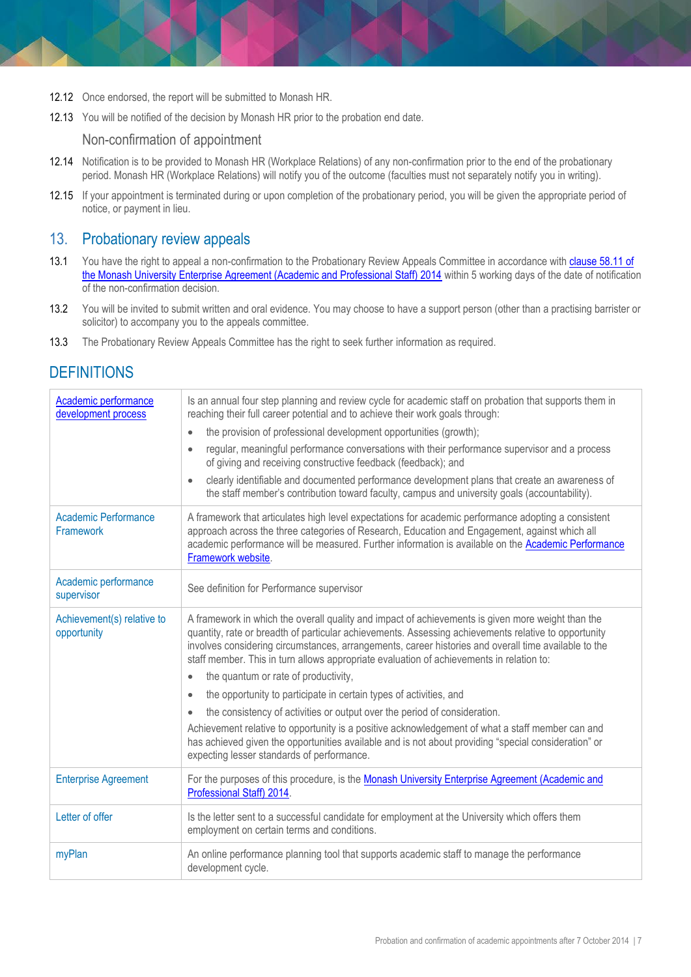- 12.12 Once endorsed, the report will be submitted to Monash HR.
- 12.13 You will be notified of the decision by Monash HR prior to the probation end date.

Non-confirmation of appointment

- 12.14 Notification is to be provided to Monash HR (Workplace Relations) of any non-confirmation prior to the end of the probationary period. Monash HR (Workplace Relations) will notify you of the outcome (faculties must not separately notify you in writing).
- 12.15 If your appointment is terminated during or upon completion of the probationary period, you will be given the appropriate period of notice, or payment in lieu.

### <span id="page-6-0"></span>13. Probationary review appeals

- 13.1 You have the right to appeal a non-confirmation to the Probationary Review Appeals Committee in accordance with clause 58.11 of [the Monash University Enterprise Agreement \(Academic and Professional Staff\) 2014](https://www.monash.edu/current-enterprise-agreements/academic-professional-2014/58) within 5 working days of the date of notification of the non-confirmation decision.
- 13.2 You will be invited to submit written and oral evidence. You may choose to have a support person (other than a practising barrister or solicitor) to accompany you to the appeals committee.
- 13.3 The Probationary Review Appeals Committee has the right to seek further information as required.

# <span id="page-6-1"></span>**DEFINITIONS**

| Academic performance<br>development process | Is an annual four step planning and review cycle for academic staff on probation that supports them in<br>reaching their full career potential and to achieve their work goals through:<br>the provision of professional development opportunities (growth);<br>$\bullet$<br>regular, meaningful performance conversations with their performance supervisor and a process<br>$\bullet$<br>of giving and receiving constructive feedback (feedback); and<br>clearly identifiable and documented performance development plans that create an awareness of<br>$\bullet$<br>the staff member's contribution toward faculty, campus and university goals (accountability). |
|---------------------------------------------|-------------------------------------------------------------------------------------------------------------------------------------------------------------------------------------------------------------------------------------------------------------------------------------------------------------------------------------------------------------------------------------------------------------------------------------------------------------------------------------------------------------------------------------------------------------------------------------------------------------------------------------------------------------------------|
| Academic Performance<br><b>Framework</b>    | A framework that articulates high level expectations for academic performance adopting a consistent<br>approach across the three categories of Research, Education and Engagement, against which all<br>academic performance will be measured. Further information is available on the Academic Performance<br>Framework website.                                                                                                                                                                                                                                                                                                                                       |
| Academic performance<br>supervisor          | See definition for Performance supervisor                                                                                                                                                                                                                                                                                                                                                                                                                                                                                                                                                                                                                               |
| Achievement(s) relative to<br>opportunity   | A framework in which the overall quality and impact of achievements is given more weight than the<br>quantity, rate or breadth of particular achievements. Assessing achievements relative to opportunity<br>involves considering circumstances, arrangements, career histories and overall time available to the<br>staff member. This in turn allows appropriate evaluation of achievements in relation to:                                                                                                                                                                                                                                                           |
|                                             | the quantum or rate of productivity,<br>$\bullet$                                                                                                                                                                                                                                                                                                                                                                                                                                                                                                                                                                                                                       |
|                                             | the opportunity to participate in certain types of activities, and<br>$\bullet$                                                                                                                                                                                                                                                                                                                                                                                                                                                                                                                                                                                         |
|                                             | the consistency of activities or output over the period of consideration.<br>$\bullet$                                                                                                                                                                                                                                                                                                                                                                                                                                                                                                                                                                                  |
|                                             | Achievement relative to opportunity is a positive acknowledgement of what a staff member can and<br>has achieved given the opportunities available and is not about providing "special consideration" or<br>expecting lesser standards of performance.                                                                                                                                                                                                                                                                                                                                                                                                                  |
| <b>Enterprise Agreement</b>                 | For the purposes of this procedure, is the Monash University Enterprise Agreement (Academic and<br>Professional Staff) 2014.                                                                                                                                                                                                                                                                                                                                                                                                                                                                                                                                            |
| Letter of offer                             | Is the letter sent to a successful candidate for employment at the University which offers them<br>employment on certain terms and conditions.                                                                                                                                                                                                                                                                                                                                                                                                                                                                                                                          |
| myPlan                                      | An online performance planning tool that supports academic staff to manage the performance<br>development cycle.                                                                                                                                                                                                                                                                                                                                                                                                                                                                                                                                                        |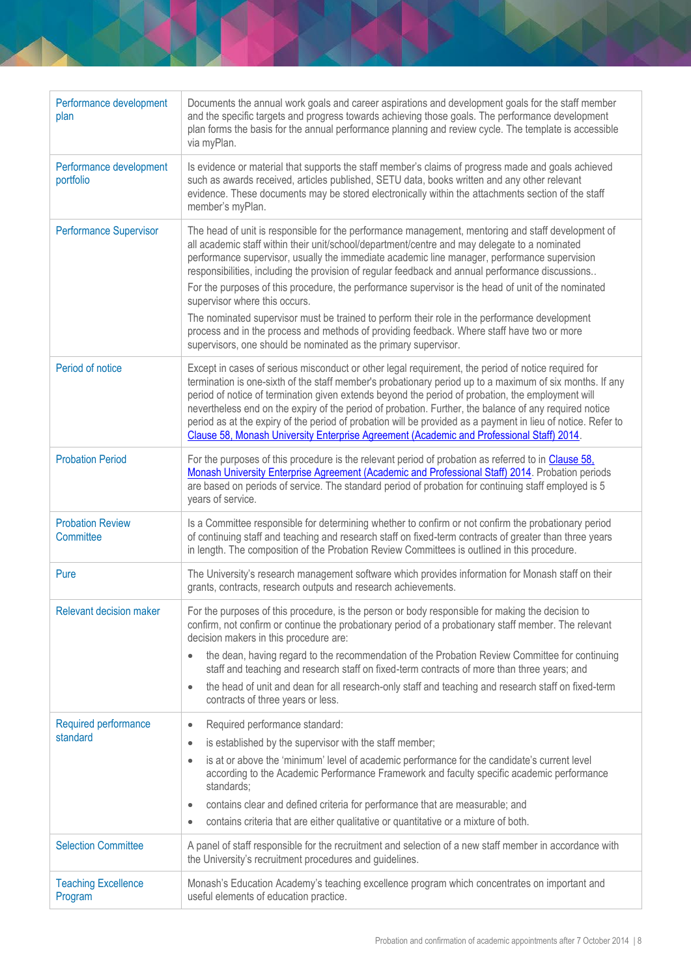| Performance development<br>plan       | Documents the annual work goals and career aspirations and development goals for the staff member<br>and the specific targets and progress towards achieving those goals. The performance development<br>plan forms the basis for the annual performance planning and review cycle. The template is accessible<br>via myPlan.                                                                                                                                                                                                                                                                                                                                                                                                                                                                                     |
|---------------------------------------|-------------------------------------------------------------------------------------------------------------------------------------------------------------------------------------------------------------------------------------------------------------------------------------------------------------------------------------------------------------------------------------------------------------------------------------------------------------------------------------------------------------------------------------------------------------------------------------------------------------------------------------------------------------------------------------------------------------------------------------------------------------------------------------------------------------------|
| Performance development<br>portfolio  | Is evidence or material that supports the staff member's claims of progress made and goals achieved<br>such as awards received, articles published, SETU data, books written and any other relevant<br>evidence. These documents may be stored electronically within the attachments section of the staff<br>member's myPlan.                                                                                                                                                                                                                                                                                                                                                                                                                                                                                     |
| <b>Performance Supervisor</b>         | The head of unit is responsible for the performance management, mentoring and staff development of<br>all academic staff within their unit/school/department/centre and may delegate to a nominated<br>performance supervisor, usually the immediate academic line manager, performance supervision<br>responsibilities, including the provision of regular feedback and annual performance discussions<br>For the purposes of this procedure, the performance supervisor is the head of unit of the nominated<br>supervisor where this occurs.<br>The nominated supervisor must be trained to perform their role in the performance development<br>process and in the process and methods of providing feedback. Where staff have two or more<br>supervisors, one should be nominated as the primary supervisor. |
| Period of notice                      | Except in cases of serious misconduct or other legal requirement, the period of notice required for<br>termination is one-sixth of the staff member's probationary period up to a maximum of six months. If any<br>period of notice of termination given extends beyond the period of probation, the employment will<br>nevertheless end on the expiry of the period of probation. Further, the balance of any required notice<br>period as at the expiry of the period of probation will be provided as a payment in lieu of notice. Refer to<br>Clause 58, Monash University Enterprise Agreement (Academic and Professional Staff) 2014.                                                                                                                                                                       |
| <b>Probation Period</b>               | For the purposes of this procedure is the relevant period of probation as referred to in Clause 58,<br>Monash University Enterprise Agreement (Academic and Professional Staff) 2014. Probation periods<br>are based on periods of service. The standard period of probation for continuing staff employed is 5<br>years of service.                                                                                                                                                                                                                                                                                                                                                                                                                                                                              |
| <b>Probation Review</b><br>Committee  | Is a Committee responsible for determining whether to confirm or not confirm the probationary period<br>of continuing staff and teaching and research staff on fixed-term contracts of greater than three years<br>in length. The composition of the Probation Review Committees is outlined in this procedure.                                                                                                                                                                                                                                                                                                                                                                                                                                                                                                   |
| Pure                                  | The University's research management software which provides information for Monash staff on their<br>grants, contracts, research outputs and research achievements.                                                                                                                                                                                                                                                                                                                                                                                                                                                                                                                                                                                                                                              |
| <b>Relevant decision maker</b>        | For the purposes of this procedure, is the person or body responsible for making the decision to<br>confirm, not confirm or continue the probationary period of a probationary staff member. The relevant<br>decision makers in this procedure are:<br>the dean, having regard to the recommendation of the Probation Review Committee for continuing<br>$\bullet$<br>staff and teaching and research staff on fixed-term contracts of more than three years; and<br>the head of unit and dean for all research-only staff and teaching and research staff on fixed-term<br>$\bullet$<br>contracts of three years or less.                                                                                                                                                                                        |
| Required performance<br>standard      | Required performance standard:<br>$\bullet$<br>is established by the supervisor with the staff member;<br>$\bullet$<br>is at or above the 'minimum' level of academic performance for the candidate's current level<br>$\bullet$<br>according to the Academic Performance Framework and faculty specific academic performance<br>standards;<br>contains clear and defined criteria for performance that are measurable; and<br>$\bullet$<br>contains criteria that are either qualitative or quantitative or a mixture of both.<br>$\bullet$                                                                                                                                                                                                                                                                      |
| <b>Selection Committee</b>            | A panel of staff responsible for the recruitment and selection of a new staff member in accordance with<br>the University's recruitment procedures and guidelines.                                                                                                                                                                                                                                                                                                                                                                                                                                                                                                                                                                                                                                                |
| <b>Teaching Excellence</b><br>Program | Monash's Education Academy's teaching excellence program which concentrates on important and<br>useful elements of education practice.                                                                                                                                                                                                                                                                                                                                                                                                                                                                                                                                                                                                                                                                            |